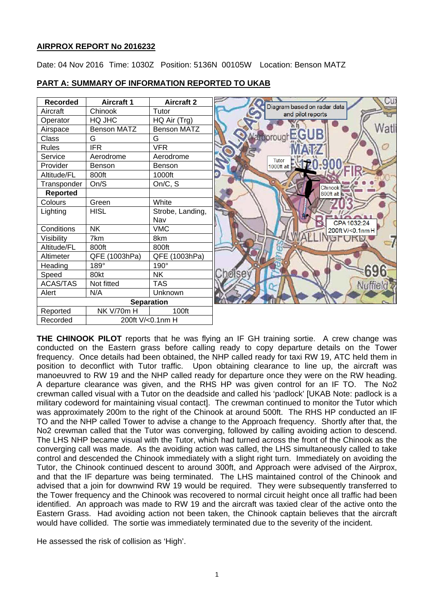# **AIRPROX REPORT No 2016232**

Date: 04 Nov 2016 Time: 1030Z Position: 5136N 00105W Location: Benson MATZ



## **PART A: SUMMARY OF INFORMATION REPORTED TO UKAB**

**THE CHINOOK PILOT** reports that he was flying an IF GH training sortie. A crew change was conducted on the Eastern grass before calling ready to copy departure details on the Tower frequency. Once details had been obtained, the NHP called ready for taxi RW 19, ATC held them in position to deconflict with Tutor traffic. Upon obtaining clearance to line up, the aircraft was manoeuvred to RW 19 and the NHP called ready for departure once they were on the RW heading. A departure clearance was given, and the RHS HP was given control for an IF TO. The No2 crewman called visual with a Tutor on the deadside and called his 'padlock' [UKAB Note: padlock is a military codeword for maintaining visual contact]. The crewman continued to monitor the Tutor which was approximately 200m to the right of the Chinook at around 500ft. The RHS HP conducted an IF TO and the NHP called Tower to advise a change to the Approach frequency. Shortly after that, the No2 crewman called that the Tutor was converging, followed by calling avoiding action to descend. The LHS NHP became visual with the Tutor, which had turned across the front of the Chinook as the converging call was made. As the avoiding action was called, the LHS simultaneously called to take control and descended the Chinook immediately with a slight right turn. Immediately on avoiding the Tutor, the Chinook continued descent to around 300ft, and Approach were advised of the Airprox, and that the IF departure was being terminated. The LHS maintained control of the Chinook and advised that a join for downwind RW 19 would be required. They were subsequently transferred to the Tower frequency and the Chinook was recovered to normal circuit height once all traffic had been identified. An approach was made to RW 19 and the aircraft was taxied clear of the active onto the Eastern Grass. Had avoiding action not been taken, the Chinook captain believes that the aircraft would have collided. The sortie was immediately terminated due to the severity of the incident.

He assessed the risk of collision as 'High'.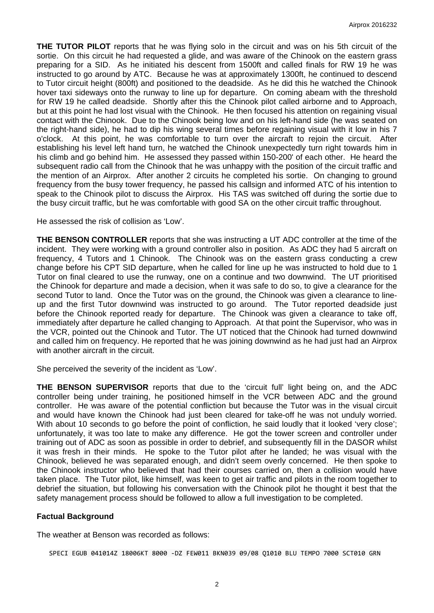**THE TUTOR PILOT** reports that he was flying solo in the circuit and was on his 5th circuit of the sortie. On this circuit he had requested a glide, and was aware of the Chinook on the eastern grass preparing for a SID. As he initiated his descent from 1500ft and called finals for RW 19 he was instructed to go around by ATC. Because he was at approximately 1300ft, he continued to descend to Tutor circuit height (800ft) and positioned to the deadside. As he did this he watched the Chinook hover taxi sideways onto the runway to line up for departure. On coming abeam with the threshold for RW 19 he called deadside. Shortly after this the Chinook pilot called airborne and to Approach, but at this point he had lost visual with the Chinook. He then focused his attention on regaining visual contact with the Chinook. Due to the Chinook being low and on his left-hand side (he was seated on the right-hand side), he had to dip his wing several times before regaining visual with it low in his 7 o'clock. At this point, he was comfortable to turn over the aircraft to rejoin the circuit. After establishing his level left hand turn, he watched the Chinook unexpectedly turn right towards him in his climb and go behind him. He assessed they passed within 150-200' of each other. He heard the subsequent radio call from the Chinook that he was unhappy with the position of the circuit traffic and the mention of an Airprox. After another 2 circuits he completed his sortie. On changing to ground frequency from the busy tower frequency, he passed his callsign and informed ATC of his intention to speak to the Chinook pilot to discuss the Airprox. His TAS was switched off during the sortie due to the busy circuit traffic, but he was comfortable with good SA on the other circuit traffic throughout.

He assessed the risk of collision as 'Low'.

**THE BENSON CONTROLLER** reports that she was instructing a UT ADC controller at the time of the incident. They were working with a ground controller also in position. As ADC they had 5 aircraft on frequency, 4 Tutors and 1 Chinook. The Chinook was on the eastern grass conducting a crew change before his CPT SID departure, when he called for line up he was instructed to hold due to 1 Tutor on final cleared to use the runway, one on a continue and two downwind. The UT prioritised the Chinook for departure and made a decision, when it was safe to do so, to give a clearance for the second Tutor to land. Once the Tutor was on the ground, the Chinook was given a clearance to lineup and the first Tutor downwind was instructed to go around. The Tutor reported deadside just before the Chinook reported ready for departure. The Chinook was given a clearance to take off, immediately after departure he called changing to Approach. At that point the Supervisor, who was in the VCR, pointed out the Chinook and Tutor. The UT noticed that the Chinook had turned downwind and called him on frequency. He reported that he was joining downwind as he had just had an Airprox with another aircraft in the circuit.

She perceived the severity of the incident as 'Low'.

**THE BENSON SUPERVISOR** reports that due to the 'circuit full' light being on, and the ADC controller being under training, he positioned himself in the VCR between ADC and the ground controller. He was aware of the potential confliction but because the Tutor was in the visual circuit and would have known the Chinook had just been cleared for take-off he was not unduly worried. With about 10 seconds to go before the point of confliction, he said loudly that it looked 'very close'; unfortunately, it was too late to make any difference. He got the tower screen and controller under training out of ADC as soon as possible in order to debrief, and subsequently fill in the DASOR whilst it was fresh in their minds. He spoke to the Tutor pilot after he landed; he was visual with the Chinook, believed he was separated enough, and didn't seem overly concerned. He then spoke to the Chinook instructor who believed that had their courses carried on, then a collision would have taken place. The Tutor pilot, like himself, was keen to get air traffic and pilots in the room together to debrief the situation, but following his conversation with the Chinook pilot he thought it best that the safety management process should be followed to allow a full investigation to be completed.

#### **Factual Background**

The weather at Benson was recorded as follows:

SPECI EGUB 041014Z 18006KT 8000 -DZ FEW011 BKN039 09/08 Q1010 BLU TEMPO 7000 SCT010 GRN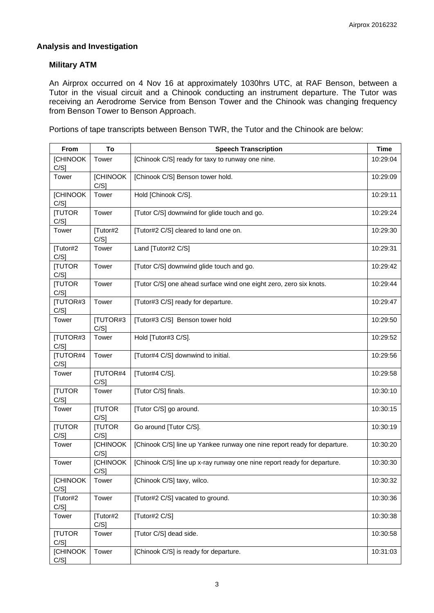# **Analysis and Investigation**

## **Military ATM**

An Airprox occurred on 4 Nov 16 at approximately 1030hrs UTC, at RAF Benson, between a Tutor in the visual circuit and a Chinook conducting an instrument departure. The Tutor was receiving an Aerodrome Service from Benson Tower and the Chinook was changing frequency from Benson Tower to Benson Approach.

Portions of tape transcripts between Benson TWR, the Tutor and the Chinook are below:

| From                       | To                         | <b>Speech Transcription</b>                                              | <b>Time</b> |
|----------------------------|----------------------------|--------------------------------------------------------------------------|-------------|
| <b>[CHINOOK</b>            | Tower                      | [Chinook C/S] ready for taxy to runway one nine.                         | 10:29:04    |
| $C/S$ ]                    |                            |                                                                          |             |
| Tower                      | <b>[CHINOOK</b><br>$C/S$ ] | [Chinook C/S] Benson tower hold.                                         | 10:29:09    |
| [CHINOOK<br>$C/S$ ]        | Tower                      | Hold [Chinook C/S].                                                      | 10:29:11    |
| [TUTOR<br>C/S]             | Tower                      | [Tutor C/S] downwind for glide touch and go.                             | 10:29:24    |
| Tower                      | [Tutor#2<br>$C/S$ ]        | [Tutor#2 C/S] cleared to land one on.                                    | 10:29:30    |
| [Tutor#2<br>$C/S$ ]        | Tower                      | Land [Tutor#2 C/S]                                                       | 10:29:31    |
| <b>ITUTOR</b><br>$C/S$ ]   | Tower                      | [Tutor C/S] downwind glide touch and go.                                 | 10:29:42    |
| <b>ITUTOR</b><br>C/S]      | Tower                      | [Tutor C/S] one ahead surface wind one eight zero, zero six knots.       | 10:29:44    |
| [TUTOR#3<br>$C/S$ ]        | Tower                      | [Tutor#3 C/S] ready for departure.                                       | 10:29:47    |
| Tower                      | [TUTOR#3<br>$C/S$ ]        | [Tutor#3 C/S] Benson tower hold                                          | 10:29:50    |
| [TUTOR#3<br>$C/S$ ]        | Tower                      | Hold [Tutor#3 C/S].                                                      | 10:29:52    |
| [TUTOR#4<br>C/S]           | Tower                      | [Tutor#4 C/S] downwind to initial.                                       | 10:29:56    |
| Tower                      | [TUTOR#4<br>$C/S$ ]        | [Tutor#4 C/S].                                                           | 10:29:58    |
| [TUTOR<br>$C/S$ ]          | Tower                      | [Tutor C/S] finals.                                                      | 10:30:10    |
| Tower                      | [TUTOR<br>$C/S$ ]          | [Tutor C/S] go around.                                                   | 10:30:15    |
| [TUTOR<br>C/S]             | [TUTOR<br>$C/S$ ]          | Go around [Tutor C/S].                                                   | 10:30:19    |
| Tower                      | [CHINOOK<br>$C/S$ ]        | [Chinook C/S] line up Yankee runway one nine report ready for departure. | 10:30:20    |
| Tower                      | <b>[CHINOOK</b><br>C/S     | [Chinook C/S] line up x-ray runway one nine report ready for departure.  | 10:30:30    |
| <b>[CHINOOK</b><br>$C/S$ ] | Tower                      | [Chinook C/S] taxy, wilco.                                               | 10:30:32    |
| [Tutor#2<br>C/S]           | Tower                      | [Tutor#2 C/S] vacated to ground.                                         | 10:30:36    |
| Tower                      | [Tutor#2<br>$C/S$ ]        | [Tutor#2 C/S]                                                            | 10:30:38    |
| [TUTOR<br>$C/S$ ]          | Tower                      | [Tutor C/S] dead side.                                                   | 10:30:58    |
| [CHINOOK<br>$C/S$ ]        | Tower                      | [Chinook C/S] is ready for departure.                                    | 10:31:03    |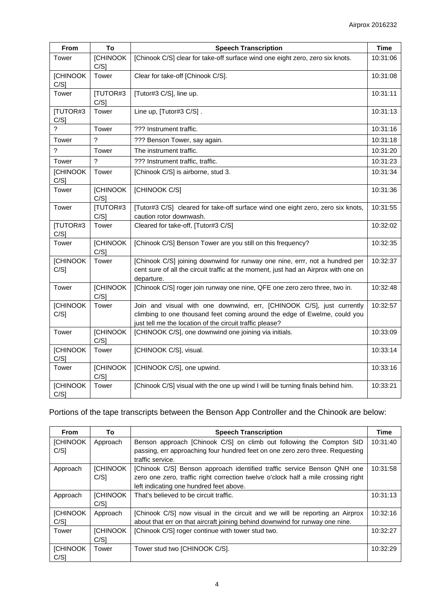| From                       | To                         | <b>Speech Transcription</b>                                                                                                                                                                                    | <b>Time</b> |
|----------------------------|----------------------------|----------------------------------------------------------------------------------------------------------------------------------------------------------------------------------------------------------------|-------------|
| Tower                      | <b>[CHINOOK</b><br>C/S1    | [Chinook C/S] clear for take-off surface wind one eight zero, zero six knots.                                                                                                                                  | 10:31:06    |
| <b>[CHINOOK</b><br>C/S]    | Tower                      | Clear for take-off [Chinook C/S].                                                                                                                                                                              | 10:31:08    |
| Tower                      | [TUTOR#3<br>C/S1           | [Tutor#3 C/S], line up.                                                                                                                                                                                        | 10:31:11    |
| <b>[TUTOR#3</b><br>$C/S$ ] | Tower                      | Line up, [Tutor#3 C/S].                                                                                                                                                                                        | 10:31:13    |
| 2                          | Tower                      | ??? Instrument traffic.                                                                                                                                                                                        | 10:31:16    |
| Tower                      | 2                          | ??? Benson Tower, say again.                                                                                                                                                                                   | 10:31:18    |
| ?                          | Tower                      | The instrument traffic.                                                                                                                                                                                        | 10:31:20    |
| Tower                      | ?                          | ??? Instrument traffic, traffic.                                                                                                                                                                               | 10:31:23    |
| <b>[CHINOOK</b><br>$C/S$ ] | Tower                      | [Chinook C/S] is airborne, stud 3.                                                                                                                                                                             | 10:31:34    |
| Tower                      | <b>[CHINOOK</b><br>$C/S$ ] | [CHINOOK C/S]                                                                                                                                                                                                  | 10:31:36    |
| Tower                      | [TUTOR#3<br>C/S]           | [Tutor#3 C/S] cleared for take-off surface wind one eight zero, zero six knots,<br>caution rotor downwash.                                                                                                     | 10:31:55    |
| [TUTOR#3<br>$C/S$ ]        | Tower                      | Cleared for take-off, [Tutor#3 C/S]                                                                                                                                                                            | 10:32:02    |
| Tower                      | <b>[CHINOOK</b><br>$C/S$ ] | [Chinook C/S] Benson Tower are you still on this frequency?                                                                                                                                                    | 10:32:35    |
| <b>[CHINOOK</b><br>$C/S$ ] | Tower                      | [Chinook C/S] joining downwind for runway one nine, errr, not a hundred per<br>cent sure of all the circuit traffic at the moment, just had an Airprox with one on<br>departure.                               | 10:32:37    |
| Tower                      | <b>[CHINOOK</b><br>$C/S$ ] | [Chinook C/S] roger join runway one nine, QFE one zero zero three, two in.                                                                                                                                     | 10:32:48    |
| <b>[CHINOOK</b><br>$C/S$ ] | Tower                      | Join and visual with one downwind, err, [CHINOOK C/S], just currently<br>climbing to one thousand feet coming around the edge of Ewelme, could you<br>just tell me the location of the circuit traffic please? | 10:32:57    |
| Tower                      | <b>[CHINOOK</b><br>$C/S$ ] | [CHINOOK C/S], one downwind one joining via initials.                                                                                                                                                          | 10:33:09    |
| <b>[CHINOOK</b><br>$C/S$ ] | Tower                      | [CHINOOK C/S], visual.                                                                                                                                                                                         | 10:33:14    |
| Tower                      | [CHINOOK<br>$C/S$ ]        | [CHINOOK C/S], one upwind.                                                                                                                                                                                     | 10:33:16    |
| <b>[CHINOOK</b><br>$C/S$ ] | Tower                      | [Chinook C/S] visual with the one up wind I will be turning finals behind him.                                                                                                                                 | 10:33:21    |

# Portions of the tape transcripts between the Benson App Controller and the Chinook are below:

| <b>From</b>     | To              | <b>Speech Transcription</b>                                                       | Time     |
|-----------------|-----------------|-----------------------------------------------------------------------------------|----------|
| <b>ICHINOOK</b> | Approach        | Benson approach [Chinook C/S] on climb out following the Compton SID              | 10:31:40 |
| C/S1            |                 | passing, err approaching four hundred feet on one zero zero three. Requesting     |          |
|                 |                 | traffic service.                                                                  |          |
| Approach        | <b>ICHINOOK</b> | [Chinook C/S] Benson approach identified traffic service Benson QNH one           | 10:31:58 |
|                 | C/S1            | zero one zero, traffic right correction twelve o'clock half a mile crossing right |          |
|                 |                 | left indicating one hundred feet above.                                           |          |
| Approach        | <b>[CHINOOK</b> | That's believed to be circuit traffic.                                            | 10:31:13 |
|                 | C/S1            |                                                                                   |          |
| <b>[CHINOOK</b> | Approach        | [Chinook C/S] now visual in the circuit and we will be reporting an Airprox       | 10:32:16 |
| C/S1            |                 | about that err on that aircraft joining behind downwind for runway one nine.      |          |
| Tower           | <b>ICHINOOK</b> | [Chinook C/S] roger continue with tower stud two.                                 | 10:32:27 |
|                 | C/S1            |                                                                                   |          |
| <b>ICHINOOK</b> | Tower           | Tower stud two [CHINOOK C/S].                                                     | 10:32:29 |
| C/S1            |                 |                                                                                   |          |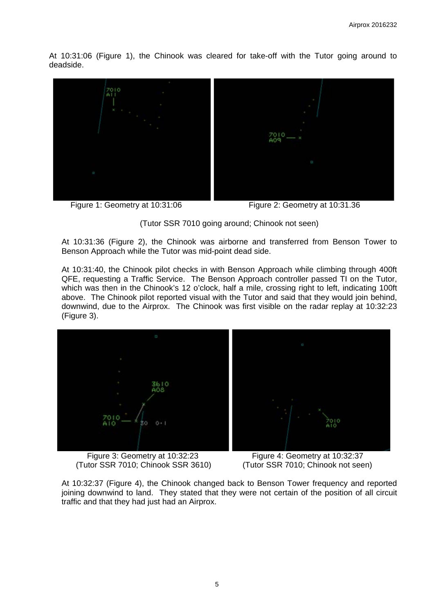At 10:31:06 (Figure 1), the Chinook was cleared for take-off with the Tutor going around to deadside.



Figure 1: Geometry at 10:31:06 Figure 2: Geometry at 10:31.36



At 10:31:36 (Figure 2), the Chinook was airborne and transferred from Benson Tower to Benson Approach while the Tutor was mid-point dead side.

At 10:31:40, the Chinook pilot checks in with Benson Approach while climbing through 400ft QFE, requesting a Traffic Service. The Benson Approach controller passed TI on the Tutor, which was then in the Chinook's 12 o'clock, half a mile, crossing right to left, indicating 100ft above. The Chinook pilot reported visual with the Tutor and said that they would join behind, downwind, due to the Airprox. The Chinook was first visible on the radar replay at 10:32:23 (Figure 3).



(Tutor SSR 7010; Chinook SSR 3610) (Tutor SSR 7010; Chinook not seen)

Figure 3: Geometry at 10:32:23 Figure 4: Geometry at 10:32:37

At 10:32:37 (Figure 4), the Chinook changed back to Benson Tower frequency and reported joining downwind to land. They stated that they were not certain of the position of all circuit traffic and that they had just had an Airprox.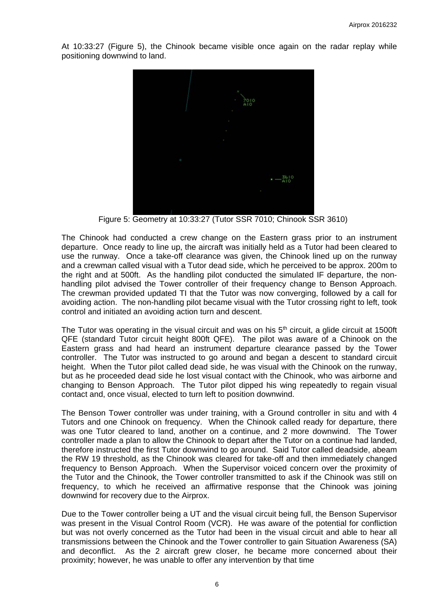At 10:33:27 (Figure 5), the Chinook became visible once again on the radar replay while positioning downwind to land.



Figure 5: Geometry at 10:33:27 (Tutor SSR 7010; Chinook SSR 3610)

The Chinook had conducted a crew change on the Eastern grass prior to an instrument departure. Once ready to line up, the aircraft was initially held as a Tutor had been cleared to use the runway. Once a take-off clearance was given, the Chinook lined up on the runway and a crewman called visual with a Tutor dead side, which he perceived to be approx. 200m to the right and at 500ft. As the handling pilot conducted the simulated IF departure, the nonhandling pilot advised the Tower controller of their frequency change to Benson Approach. The crewman provided updated TI that the Tutor was now converging, followed by a call for avoiding action. The non-handling pilot became visual with the Tutor crossing right to left, took control and initiated an avoiding action turn and descent.

The Tutor was operating in the visual circuit and was on his  $5<sup>th</sup>$  circuit, a glide circuit at 1500ft QFE (standard Tutor circuit height 800ft QFE). The pilot was aware of a Chinook on the Eastern grass and had heard an instrument departure clearance passed by the Tower controller. The Tutor was instructed to go around and began a descent to standard circuit height. When the Tutor pilot called dead side, he was visual with the Chinook on the runway, but as he proceeded dead side he lost visual contact with the Chinook, who was airborne and changing to Benson Approach. The Tutor pilot dipped his wing repeatedly to regain visual contact and, once visual, elected to turn left to position downwind.

The Benson Tower controller was under training, with a Ground controller in situ and with 4 Tutors and one Chinook on frequency. When the Chinook called ready for departure, there was one Tutor cleared to land, another on a continue, and 2 more downwind. The Tower controller made a plan to allow the Chinook to depart after the Tutor on a continue had landed, therefore instructed the first Tutor downwind to go around. Said Tutor called deadside, abeam the RW 19 threshold, as the Chinook was cleared for take-off and then immediately changed frequency to Benson Approach. When the Supervisor voiced concern over the proximity of the Tutor and the Chinook, the Tower controller transmitted to ask if the Chinook was still on frequency, to which he received an affirmative response that the Chinook was joining downwind for recovery due to the Airprox.

Due to the Tower controller being a UT and the visual circuit being full, the Benson Supervisor was present in the Visual Control Room (VCR). He was aware of the potential for confliction but was not overly concerned as the Tutor had been in the visual circuit and able to hear all transmissions between the Chinook and the Tower controller to gain Situation Awareness (SA) and deconflict. As the 2 aircraft grew closer, he became more concerned about their proximity; however, he was unable to offer any intervention by that time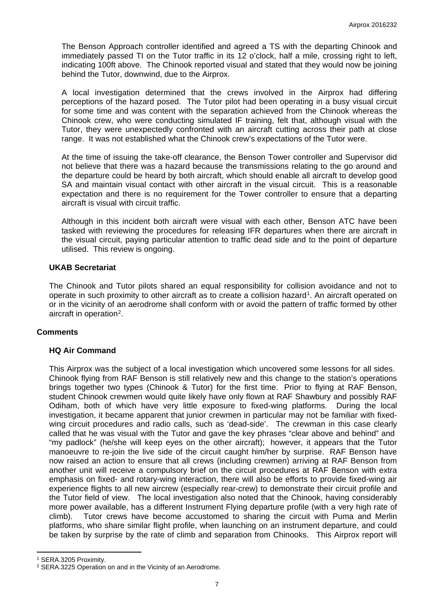The Benson Approach controller identified and agreed a TS with the departing Chinook and immediately passed TI on the Tutor traffic in its 12 o'clock, half a mile, crossing right to left, indicating 100ft above. The Chinook reported visual and stated that they would now be joining behind the Tutor, downwind, due to the Airprox.

A local investigation determined that the crews involved in the Airprox had differing perceptions of the hazard posed. The Tutor pilot had been operating in a busy visual circuit for some time and was content with the separation achieved from the Chinook whereas the Chinook crew, who were conducting simulated IF training, felt that, although visual with the Tutor, they were unexpectedly confronted with an aircraft cutting across their path at close range. It was not established what the Chinook crew's expectations of the Tutor were.

At the time of issuing the take-off clearance, the Benson Tower controller and Supervisor did not believe that there was a hazard because the transmissions relating to the go around and the departure could be heard by both aircraft, which should enable all aircraft to develop good SA and maintain visual contact with other aircraft in the visual circuit. This is a reasonable expectation and there is no requirement for the Tower controller to ensure that a departing aircraft is visual with circuit traffic.

Although in this incident both aircraft were visual with each other, Benson ATC have been tasked with reviewing the procedures for releasing IFR departures when there are aircraft in the visual circuit, paying particular attention to traffic dead side and to the point of departure utilised. This review is ongoing.

## **UKAB Secretariat**

The Chinook and Tutor pilots shared an equal responsibility for collision avoidance and not to operate in such proximity to other aircraft as to create a collision hazard<sup>[1](#page-6-0)</sup>. An aircraft operated on or in the vicinity of an aerodrome shall conform with or avoid the pattern of traffic formed by other aircraft in operation[2](#page-6-1).

#### **Comments**

#### **HQ Air Command**

This Airprox was the subject of a local investigation which uncovered some lessons for all sides. Chinook flying from RAF Benson is still relatively new and this change to the station's operations brings together two types (Chinook & Tutor) for the first time. Prior to flying at RAF Benson, student Chinook crewmen would quite likely have only flown at RAF Shawbury and possibly RAF Odiham, both of which have very little exposure to fixed-wing platforms. During the local investigation, it became apparent that junior crewmen in particular may not be familiar with fixedwing circuit procedures and radio calls, such as 'dead-side'. The crewman in this case clearly called that he was visual with the Tutor and gave the key phrases "clear above and behind" and "my padlock" (he/she will keep eyes on the other aircraft); however, it appears that the Tutor manoeuvre to re-join the live side of the circuit caught him/her by surprise. RAF Benson have now raised an action to ensure that all crews (including crewmen) arriving at RAF Benson from another unit will receive a compulsory brief on the circuit procedures at RAF Benson with extra emphasis on fixed- and rotary-wing interaction, there will also be efforts to provide fixed-wing air experience flights to all new aircrew (especially rear-crew) to demonstrate their circuit profile and the Tutor field of view. The local investigation also noted that the Chinook, having considerably more power available, has a different Instrument Flying departure profile (with a very high rate of climb). Tutor crews have become accustomed to sharing the circuit with Puma and Merlin platforms, who share similar flight profile, when launching on an instrument departure, and could be taken by surprise by the rate of climb and separation from Chinooks. This Airprox report will

 $\overline{a}$ 

<span id="page-6-0"></span><sup>1</sup> SERA.3205 Proximity.

<span id="page-6-1"></span><sup>2</sup> SERA.3225 Operation on and in the Vicinity of an Aerodrome.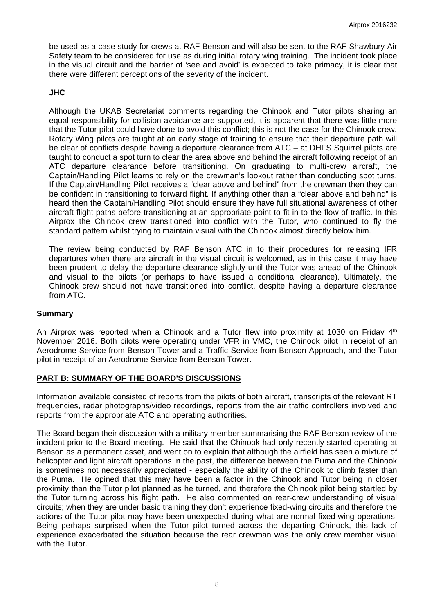be used as a case study for crews at RAF Benson and will also be sent to the RAF Shawbury Air Safety team to be considered for use as during initial rotary wing training. The incident took place in the visual circuit and the barrier of 'see and avoid' is expected to take primacy, it is clear that there were different perceptions of the severity of the incident.

## **JHC**

Although the UKAB Secretariat comments regarding the Chinook and Tutor pilots sharing an equal responsibility for collision avoidance are supported, it is apparent that there was little more that the Tutor pilot could have done to avoid this conflict; this is not the case for the Chinook crew. Rotary Wing pilots are taught at an early stage of training to ensure that their departure path will be clear of conflicts despite having a departure clearance from ATC – at DHFS Squirrel pilots are taught to conduct a spot turn to clear the area above and behind the aircraft following receipt of an ATC departure clearance before transitioning. On graduating to multi-crew aircraft, the Captain/Handling Pilot learns to rely on the crewman's lookout rather than conducting spot turns. If the Captain/Handling Pilot receives a "clear above and behind" from the crewman then they can be confident in transitioning to forward flight. If anything other than a "clear above and behind" is heard then the Captain/Handling Pilot should ensure they have full situational awareness of other aircraft flight paths before transitioning at an appropriate point to fit in to the flow of traffic. In this Airprox the Chinook crew transitioned into conflict with the Tutor, who continued to fly the standard pattern whilst trying to maintain visual with the Chinook almost directly below him.

The review being conducted by RAF Benson ATC in to their procedures for releasing IFR departures when there are aircraft in the visual circuit is welcomed, as in this case it may have been prudent to delay the departure clearance slightly until the Tutor was ahead of the Chinook and visual to the pilots (or perhaps to have issued a conditional clearance). Ultimately, the Chinook crew should not have transitioned into conflict, despite having a departure clearance from ATC.

#### **Summary**

An Airprox was reported when a Chinook and a Tutor flew into proximity at 1030 on Friday  $4<sup>th</sup>$ November 2016. Both pilots were operating under VFR in VMC, the Chinook pilot in receipt of an Aerodrome Service from Benson Tower and a Traffic Service from Benson Approach, and the Tutor pilot in receipt of an Aerodrome Service from Benson Tower.

#### **PART B: SUMMARY OF THE BOARD'S DISCUSSIONS**

Information available consisted of reports from the pilots of both aircraft, transcripts of the relevant RT frequencies, radar photographs/video recordings, reports from the air traffic controllers involved and reports from the appropriate ATC and operating authorities.

The Board began their discussion with a military member summarising the RAF Benson review of the incident prior to the Board meeting. He said that the Chinook had only recently started operating at Benson as a permanent asset, and went on to explain that although the airfield has seen a mixture of helicopter and light aircraft operations in the past, the difference between the Puma and the Chinook is sometimes not necessarily appreciated - especially the ability of the Chinook to climb faster than the Puma. He opined that this may have been a factor in the Chinook and Tutor being in closer proximity than the Tutor pilot planned as he turned, and therefore the Chinook pilot being startled by the Tutor turning across his flight path. He also commented on rear-crew understanding of visual circuits; when they are under basic training they don't experience fixed-wing circuits and therefore the actions of the Tutor pilot may have been unexpected during what are normal fixed-wing operations. Being perhaps surprised when the Tutor pilot turned across the departing Chinook, this lack of experience exacerbated the situation because the rear crewman was the only crew member visual with the Tutor.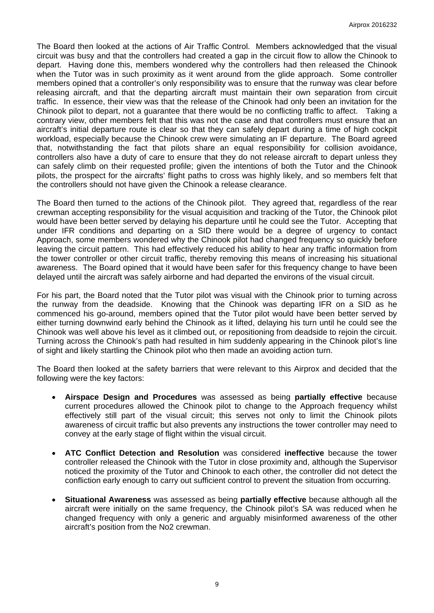The Board then looked at the actions of Air Traffic Control. Members acknowledged that the visual circuit was busy and that the controllers had created a gap in the circuit flow to allow the Chinook to depart. Having done this, members wondered why the controllers had then released the Chinook when the Tutor was in such proximity as it went around from the glide approach. Some controller members opined that a controller's only responsibility was to ensure that the runway was clear before releasing aircraft, and that the departing aircraft must maintain their own separation from circuit traffic. In essence, their view was that the release of the Chinook had only been an invitation for the Chinook pilot to depart, not a guarantee that there would be no conflicting traffic to affect. Taking a contrary view, other members felt that this was not the case and that controllers must ensure that an aircraft's initial departure route is clear so that they can safely depart during a time of high cockpit workload, especially because the Chinook crew were simulating an IF departure. The Board agreed that, notwithstanding the fact that pilots share an equal responsibility for collision avoidance, controllers also have a duty of care to ensure that they do not release aircraft to depart unless they can safely climb on their requested profile; given the intentions of both the Tutor and the Chinook pilots, the prospect for the aircrafts' flight paths to cross was highly likely, and so members felt that the controllers should not have given the Chinook a release clearance.

The Board then turned to the actions of the Chinook pilot. They agreed that, regardless of the rear crewman accepting responsibility for the visual acquisition and tracking of the Tutor, the Chinook pilot would have been better served by delaying his departure until he could see the Tutor. Accepting that under IFR conditions and departing on a SID there would be a degree of urgency to contact Approach, some members wondered why the Chinook pilot had changed frequency so quickly before leaving the circuit pattern. This had effectively reduced his ability to hear any traffic information from the tower controller or other circuit traffic, thereby removing this means of increasing his situational awareness. The Board opined that it would have been safer for this frequency change to have been delayed until the aircraft was safely airborne and had departed the environs of the visual circuit.

For his part, the Board noted that the Tutor pilot was visual with the Chinook prior to turning across the runway from the deadside. Knowing that the Chinook was departing IFR on a SID as he commenced his go-around, members opined that the Tutor pilot would have been better served by either turning downwind early behind the Chinook as it lifted, delaying his turn until he could see the Chinook was well above his level as it climbed out, or repositioning from deadside to rejoin the circuit. Turning across the Chinook's path had resulted in him suddenly appearing in the Chinook pilot's line of sight and likely startling the Chinook pilot who then made an avoiding action turn.

The Board then looked at the safety barriers that were relevant to this Airprox and decided that the following were the key factors:

- **Airspace Design and Procedures** was assessed as being **partially effective** because current procedures allowed the Chinook pilot to change to the Approach frequency whilst effectively still part of the visual circuit; this serves not only to limit the Chinook pilots awareness of circuit traffic but also prevents any instructions the tower controller may need to convey at the early stage of flight within the visual circuit.
- **ATC Conflict Detection and Resolution** was considered **ineffective** because the tower controller released the Chinook with the Tutor in close proximity and, although the Supervisor noticed the proximity of the Tutor and Chinook to each other, the controller did not detect the confliction early enough to carry out sufficient control to prevent the situation from occurring.
- **Situational Awareness** was assessed as being **partially effective** because although all the aircraft were initially on the same frequency, the Chinook pilot's SA was reduced when he changed frequency with only a generic and arguably misinformed awareness of the other aircraft's position from the No2 crewman.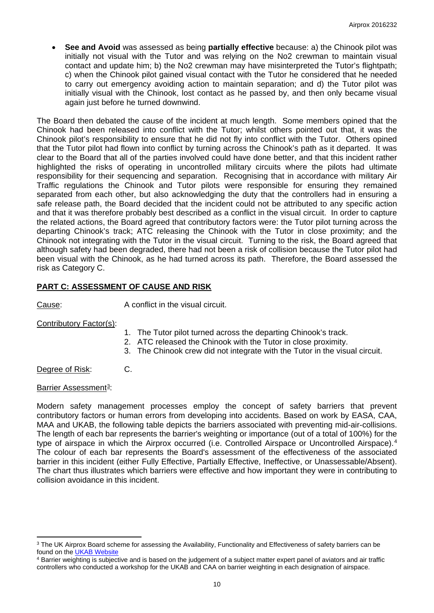• **See and Avoid** was assessed as being **partially effective** because: a) the Chinook pilot was initially not visual with the Tutor and was relying on the No2 crewman to maintain visual contact and update him; b) the No2 crewman may have misinterpreted the Tutor's flightpath; c) when the Chinook pilot gained visual contact with the Tutor he considered that he needed to carry out emergency avoiding action to maintain separation; and d) the Tutor pilot was initially visual with the Chinook, lost contact as he passed by, and then only became visual again just before he turned downwind.

The Board then debated the cause of the incident at much length. Some members opined that the Chinook had been released into conflict with the Tutor; whilst others pointed out that, it was the Chinook pilot's responsibility to ensure that he did not fly into conflict with the Tutor. Others opined that the Tutor pilot had flown into conflict by turning across the Chinook's path as it departed. It was clear to the Board that all of the parties involved could have done better, and that this incident rather highlighted the risks of operating in uncontrolled military circuits where the pilots had ultimate responsibility for their sequencing and separation. Recognising that in accordance with military Air Traffic regulations the Chinook and Tutor pilots were responsible for ensuring they remained separated from each other, but also acknowledging the duty that the controllers had in ensuring a safe release path, the Board decided that the incident could not be attributed to any specific action and that it was therefore probably best described as a conflict in the visual circuit. In order to capture the related actions, the Board agreed that contributory factors were: the Tutor pilot turning across the departing Chinook's track; ATC releasing the Chinook with the Tutor in close proximity; and the Chinook not integrating with the Tutor in the visual circuit. Turning to the risk, the Board agreed that although safety had been degraded, there had not been a risk of collision because the Tutor pilot had been visual with the Chinook, as he had turned across its path. Therefore, the Board assessed the risk as Category C.

# **PART C: ASSESSMENT OF CAUSE AND RISK**

Cause: A conflict in the visual circuit.

#### Contributory Factor(s):

- 1. The Tutor pilot turned across the departing Chinook's track.
- 2. ATC released the Chinook with the Tutor in close proximity.
- 3. The Chinook crew did not integrate with the Tutor in the visual circuit.
- Degree of Risk: C.

#### Barrier Assessment<sup>3</sup>:

Modern safety management processes employ the concept of safety barriers that prevent contributory factors or human errors from developing into accidents. Based on work by EASA, CAA, MAA and UKAB, the following table depicts the barriers associated with preventing mid-air-collisions. The length of each bar represents the barrier's weighting or importance (out of a total of 100%) for the type of airspace in which the Airprox occurred (i.e. Controlled Airspace or Uncontrolled Airspace).<sup>[4](#page-9-1)</sup> The colour of each bar represents the Board's assessment of the effectiveness of the associated barrier in this incident (either Fully Effective, Partially Effective, Ineffective, or Unassessable/Absent). The chart thus illustrates which barriers were effective and how important they were in contributing to collision avoidance in this incident.

<span id="page-9-0"></span> $\overline{a}$ <sup>3</sup> The UK Airprox Board scheme for assessing the Availability, Functionality and Effectiveness of safety barriers can be found on the [UKAB Website](http://www.airproxboard.org.uk/Learn-more/Airprox-Barrier-Assessment/)

<span id="page-9-1"></span><sup>4</sup> Barrier weighting is subjective and is based on the judgement of a subject matter expert panel of aviators and air traffic controllers who conducted a workshop for the UKAB and CAA on barrier weighting in each designation of airspace.